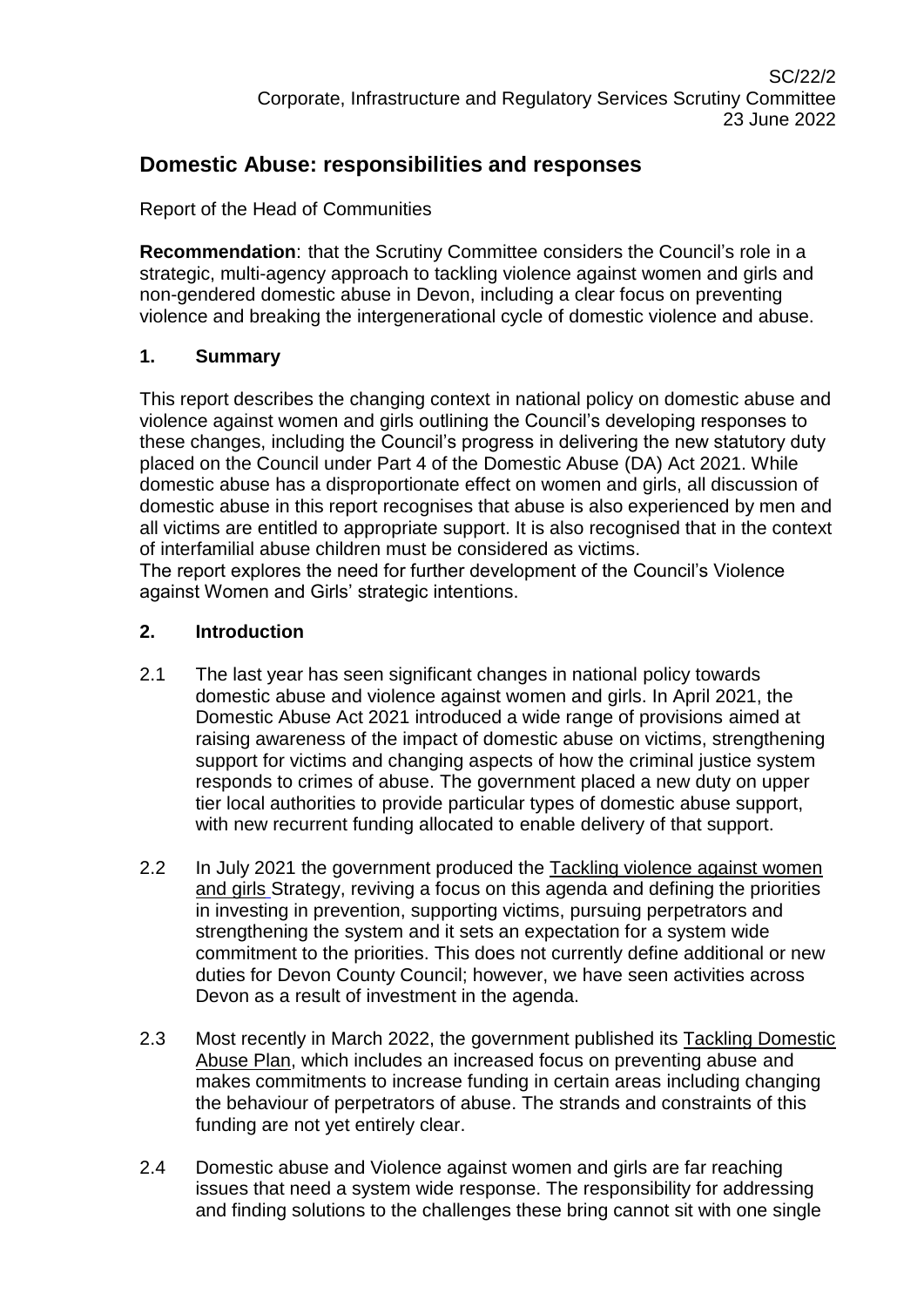# **Domestic Abuse: responsibilities and responses**

Report of the Head of Communities

**Recommendation**: that the Scrutiny Committee considers the Council's role in a strategic, multi-agency approach to tackling violence against women and girls and non-gendered domestic abuse in Devon, including a clear focus on preventing violence and breaking the intergenerational cycle of domestic violence and abuse.

### **1. Summary**

This report describes the changing context in national policy on domestic abuse and violence against women and girls outlining the Council's developing responses to these changes, including the Council's progress in delivering the new statutory duty placed on the Council under Part 4 of the Domestic Abuse (DA) Act 2021. While domestic abuse has a disproportionate effect on women and girls, all discussion of domestic abuse in this report recognises that abuse is also experienced by men and all victims are entitled to appropriate support. It is also recognised that in the context of interfamilial abuse children must be considered as victims.

The report explores the need for further development of the Council's Violence against Women and Girls' strategic intentions.

### **2. Introduction**

- 2.1 The last year has seen significant changes in national policy towards domestic abuse and violence against women and girls. In April 2021, the Domestic Abuse Act 2021 introduced a wide range of provisions aimed at raising awareness of the impact of domestic abuse on victims, strengthening support for victims and changing aspects of how the criminal justice system responds to crimes of abuse. The government placed a new duty on upper tier local authorities to provide particular types of domestic abuse support, with new recurrent funding allocated to enable delivery of that support.
- 2.2 In July 2021 the government produced the [Tackling violence against women](https://assets.publishing.service.gov.uk/government/uploads/system/uploads/attachment_data/file/1033934/Tackling_Violence_Against_Women_and_Girls_Strategy_-_July_2021.pdf)  [and girls](https://assets.publishing.service.gov.uk/government/uploads/system/uploads/attachment_data/file/1033934/Tackling_Violence_Against_Women_and_Girls_Strategy_-_July_2021.pdf) Strategy, reviving a focus on this agenda and defining the priorities in investing in prevention, supporting victims, pursuing perpetrators and strengthening the system and it sets an expectation for a system wide commitment to the priorities. This does not currently define additional or new duties for Devon County Council; however, we have seen activities across Devon as a result of investment in the agenda.
- 2.3 Most recently in March 2022, the government published its [Tackling Domestic](https://www.gov.uk/government/publications/tackling-domestic-abuse-plan)  [Abuse Plan,](https://www.gov.uk/government/publications/tackling-domestic-abuse-plan) which includes an increased focus on preventing abuse and makes commitments to increase funding in certain areas including changing the behaviour of perpetrators of abuse. The strands and constraints of this funding are not yet entirely clear.
- 2.4 Domestic abuse and Violence against women and girls are far reaching issues that need a system wide response. The responsibility for addressing and finding solutions to the challenges these bring cannot sit with one single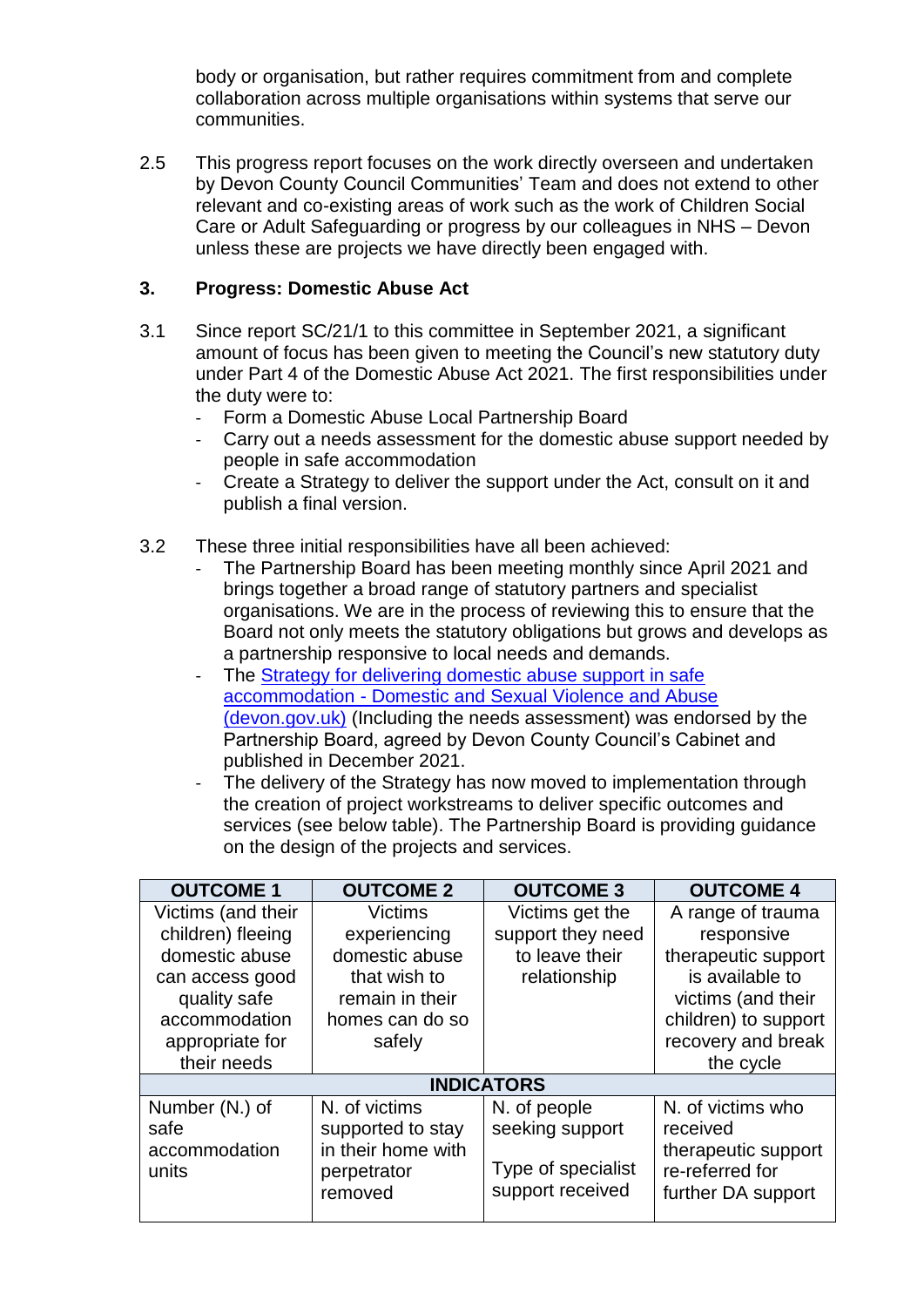body or organisation, but rather requires commitment from and complete collaboration across multiple organisations within systems that serve our communities.

2.5 This progress report focuses on the work directly overseen and undertaken by Devon County Council Communities' Team and does not extend to other relevant and co-existing areas of work such as the work of Children Social Care or Adult Safeguarding or progress by our colleagues in NHS – Devon unless these are projects we have directly been engaged with.

### **3. Progress: Domestic Abuse Act**

- 3.1 Since report SC/21/1 to this committee in September 2021, a significant amount of focus has been given to meeting the Council's new statutory duty under Part 4 of the Domestic Abuse Act 2021. The first responsibilities under the duty were to:
	- Form a Domestic Abuse Local Partnership Board
	- Carry out a needs assessment for the domestic abuse support needed by people in safe accommodation
	- Create a Strategy to deliver the support under the Act, consult on it and publish a final version.
- 3.2 These three initial responsibilities have all been achieved:
	- The Partnership Board has been meeting monthly since April 2021 and brings together a broad range of statutory partners and specialist organisations. We are in the process of reviewing this to ensure that the Board not only meets the statutory obligations but grows and develops as a partnership responsive to local needs and demands.
	- The Strategy for delivering domestic abuse support in safe accommodation - [Domestic and Sexual Violence and Abuse](https://www.devon.gov.uk/dsva/document/strategy-for-delivering-domestic-abuse-support-in-safe-accommodation/)  [\(devon.gov.uk\)](https://www.devon.gov.uk/dsva/document/strategy-for-delivering-domestic-abuse-support-in-safe-accommodation/) (Including the needs assessment) was endorsed by the Partnership Board, agreed by Devon County Council's Cabinet and published in December 2021.
	- The delivery of the Strategy has now moved to implementation through the creation of project workstreams to deliver specific outcomes and services (see below table). The Partnership Board is providing guidance on the design of the projects and services.

| <b>OUTCOME 1</b>                                 | <b>OUTCOME 2</b>                                                                   | <b>OUTCOME 3</b>                                                          | <b>OUTCOME 4</b>                                                                              |  |
|--------------------------------------------------|------------------------------------------------------------------------------------|---------------------------------------------------------------------------|-----------------------------------------------------------------------------------------------|--|
| Victims (and their                               | <b>Victims</b>                                                                     | Victims get the                                                           | A range of trauma                                                                             |  |
| children) fleeing                                | experiencing                                                                       | support they need                                                         | responsive                                                                                    |  |
| domestic abuse                                   | domestic abuse                                                                     | to leave their                                                            | therapeutic support                                                                           |  |
| can access good                                  | that wish to                                                                       | relationship                                                              | is available to                                                                               |  |
| quality safe                                     | remain in their                                                                    |                                                                           | victims (and their                                                                            |  |
| accommodation                                    | homes can do so                                                                    |                                                                           | children) to support                                                                          |  |
| appropriate for                                  | safely                                                                             |                                                                           | recovery and break                                                                            |  |
| their needs                                      |                                                                                    |                                                                           | the cycle                                                                                     |  |
| <b>INDICATORS</b>                                |                                                                                    |                                                                           |                                                                                               |  |
| Number (N.) of<br>safe<br>accommodation<br>units | N. of victims<br>supported to stay<br>in their home with<br>perpetrator<br>removed | N. of people<br>seeking support<br>Type of specialist<br>support received | N. of victims who<br>received<br>therapeutic support<br>re-referred for<br>further DA support |  |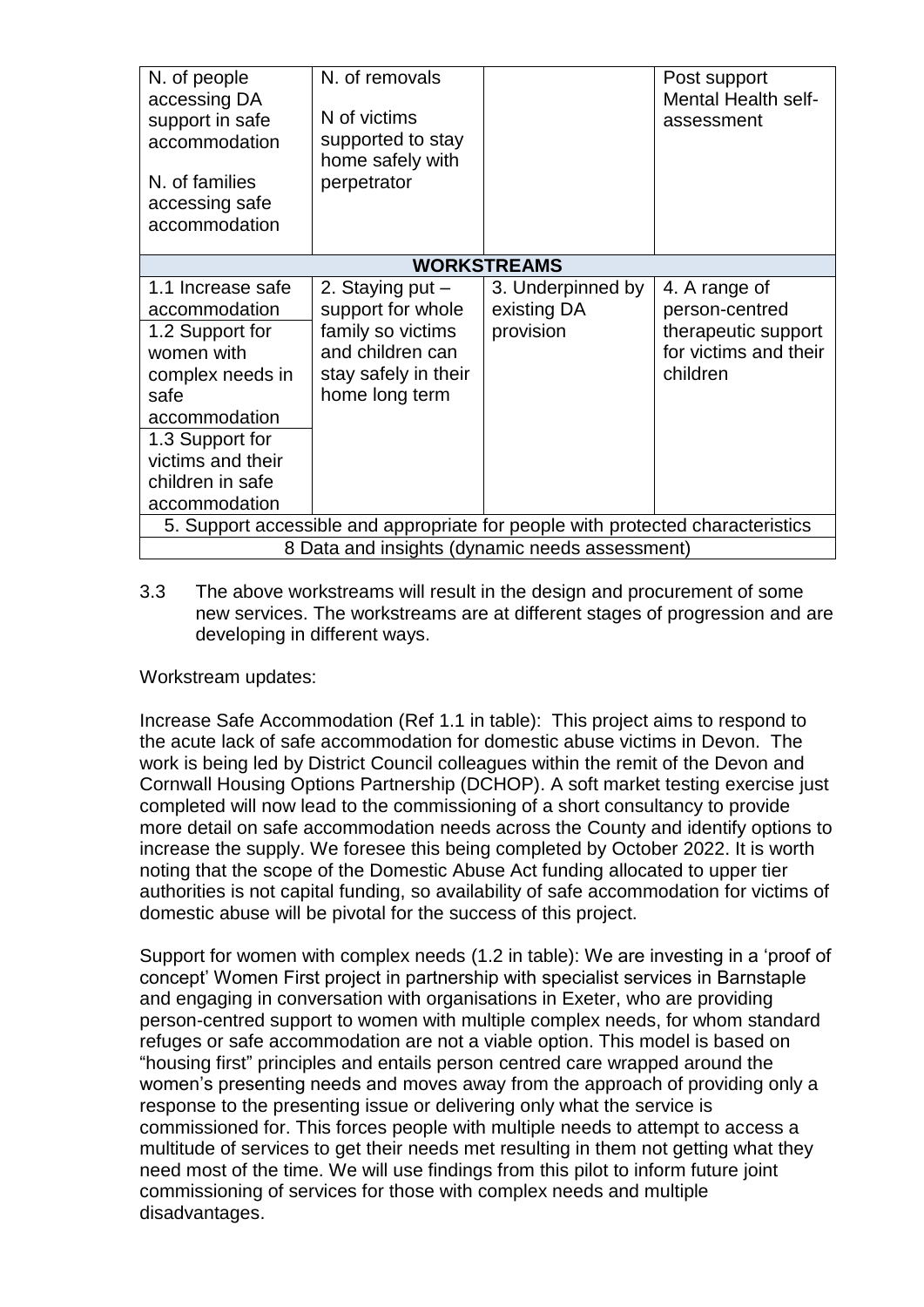| N. of people<br>accessing DA<br>support in safe<br>accommodation<br>N. of families<br>accessing safe<br>accommodation                                                                         | N. of removals<br>N of victims<br>supported to stay<br>home safely with<br>perpetrator                                   |                                               | Post support<br>Mental Health self-<br>assessment                                           |  |
|-----------------------------------------------------------------------------------------------------------------------------------------------------------------------------------------------|--------------------------------------------------------------------------------------------------------------------------|-----------------------------------------------|---------------------------------------------------------------------------------------------|--|
| <b>WORKSTREAMS</b>                                                                                                                                                                            |                                                                                                                          |                                               |                                                                                             |  |
| 1.1 Increase safe<br>accommodation<br>1.2 Support for<br>women with<br>complex needs in<br>safe<br>accommodation<br>1.3 Support for<br>victims and their<br>children in safe<br>accommodation | 2. Staying put -<br>support for whole<br>family so victims<br>and children can<br>stay safely in their<br>home long term | 3. Underpinned by<br>existing DA<br>provision | 4. A range of<br>person-centred<br>therapeutic support<br>for victims and their<br>children |  |
| 5. Support accessible and appropriate for people with protected characteristics                                                                                                               |                                                                                                                          |                                               |                                                                                             |  |
| 8 Data and insights (dynamic needs assessment)                                                                                                                                                |                                                                                                                          |                                               |                                                                                             |  |

3.3 The above workstreams will result in the design and procurement of some new services. The workstreams are at different stages of progression and are developing in different ways.

Workstream updates:

Increase Safe Accommodation (Ref 1.1 in table): This project aims to respond to the acute lack of safe accommodation for domestic abuse victims in Devon. The work is being led by District Council colleagues within the remit of the Devon and Cornwall Housing Options Partnership (DCHOP). A soft market testing exercise just completed will now lead to the commissioning of a short consultancy to provide more detail on safe accommodation needs across the County and identify options to increase the supply. We foresee this being completed by October 2022. It is worth noting that the scope of the Domestic Abuse Act funding allocated to upper tier authorities is not capital funding, so availability of safe accommodation for victims of domestic abuse will be pivotal for the success of this project.

Support for women with complex needs (1.2 in table): We are investing in a 'proof of concept' Women First project in partnership with specialist services in Barnstaple and engaging in conversation with organisations in Exeter, who are providing person-centred support to women with multiple complex needs, for whom standard refuges or safe accommodation are not a viable option. This model is based on "housing first" principles and entails person centred care wrapped around the women's presenting needs and moves away from the approach of providing only a response to the presenting issue or delivering only what the service is commissioned for. This forces people with multiple needs to attempt to access a multitude of services to get their needs met resulting in them not getting what they need most of the time. We will use findings from this pilot to inform future joint commissioning of services for those with complex needs and multiple disadvantages.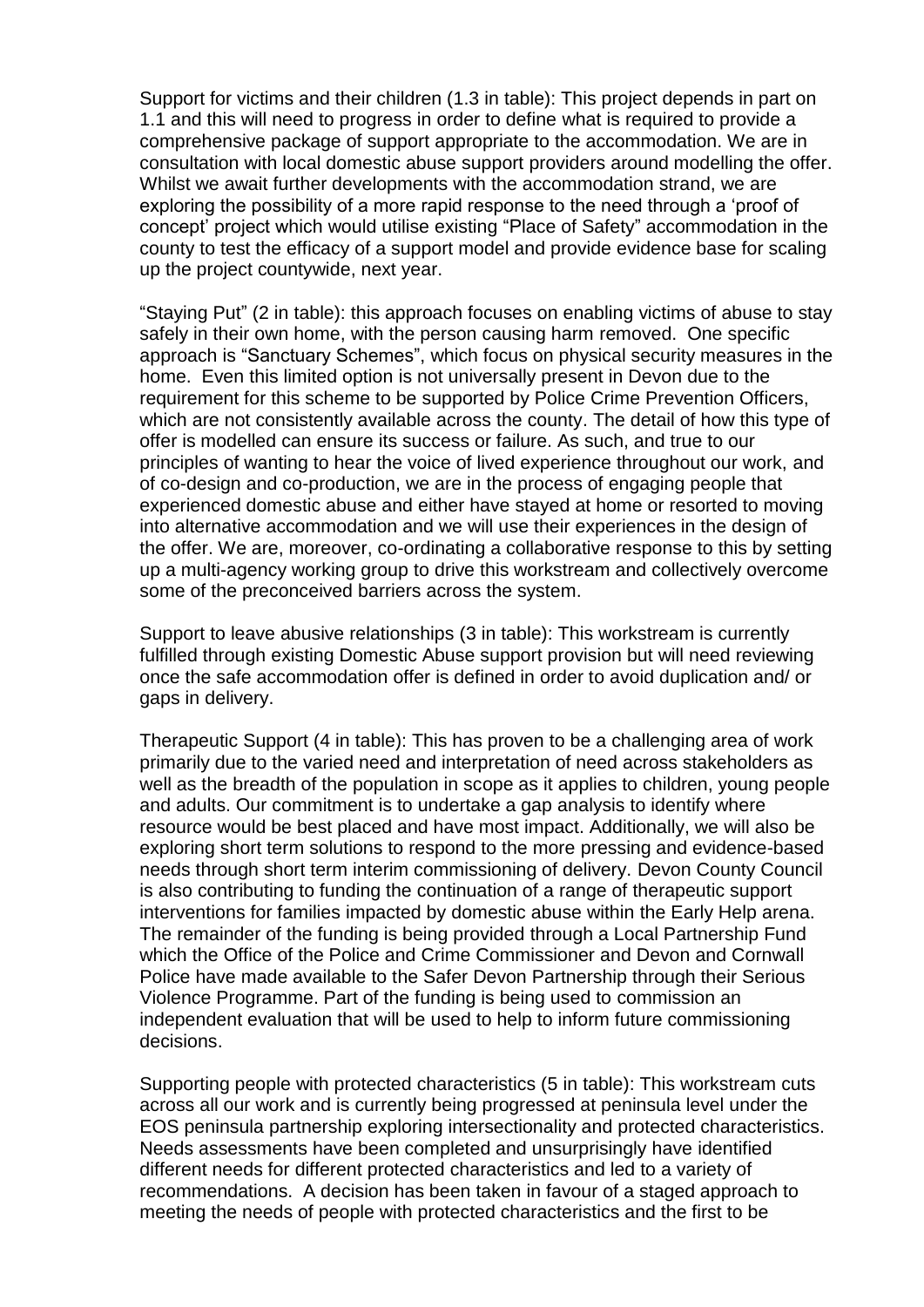Support for victims and their children (1.3 in table): This project depends in part on 1.1 and this will need to progress in order to define what is required to provide a comprehensive package of support appropriate to the accommodation. We are in consultation with local domestic abuse support providers around modelling the offer. Whilst we await further developments with the accommodation strand, we are exploring the possibility of a more rapid response to the need through a 'proof of concept' project which would utilise existing "Place of Safety" accommodation in the county to test the efficacy of a support model and provide evidence base for scaling up the project countywide, next year.

"Staying Put" (2 in table): this approach focuses on enabling victims of abuse to stay safely in their own home, with the person causing harm removed. One specific approach is "Sanctuary Schemes", which focus on physical security measures in the home. Even this limited option is not universally present in Devon due to the requirement for this scheme to be supported by Police Crime Prevention Officers, which are not consistently available across the county. The detail of how this type of offer is modelled can ensure its success or failure. As such, and true to our principles of wanting to hear the voice of lived experience throughout our work, and of co-design and co-production, we are in the process of engaging people that experienced domestic abuse and either have stayed at home or resorted to moving into alternative accommodation and we will use their experiences in the design of the offer. We are, moreover, co-ordinating a collaborative response to this by setting up a multi-agency working group to drive this workstream and collectively overcome some of the preconceived barriers across the system.

Support to leave abusive relationships (3 in table): This workstream is currently fulfilled through existing Domestic Abuse support provision but will need reviewing once the safe accommodation offer is defined in order to avoid duplication and/ or gaps in delivery.

Therapeutic Support (4 in table): This has proven to be a challenging area of work primarily due to the varied need and interpretation of need across stakeholders as well as the breadth of the population in scope as it applies to children, young people and adults. Our commitment is to undertake a gap analysis to identify where resource would be best placed and have most impact. Additionally, we will also be exploring short term solutions to respond to the more pressing and evidence-based needs through short term interim commissioning of delivery. Devon County Council is also contributing to funding the continuation of a range of therapeutic support interventions for families impacted by domestic abuse within the Early Help arena. The remainder of the funding is being provided through a Local Partnership Fund which the Office of the Police and Crime Commissioner and Devon and Cornwall Police have made available to the Safer Devon Partnership through their Serious Violence Programme. Part of the funding is being used to commission an independent evaluation that will be used to help to inform future commissioning decisions.

Supporting people with protected characteristics (5 in table): This workstream cuts across all our work and is currently being progressed at peninsula level under the EOS peninsula partnership exploring intersectionality and protected characteristics. Needs assessments have been completed and unsurprisingly have identified different needs for different protected characteristics and led to a variety of recommendations. A decision has been taken in favour of a staged approach to meeting the needs of people with protected characteristics and the first to be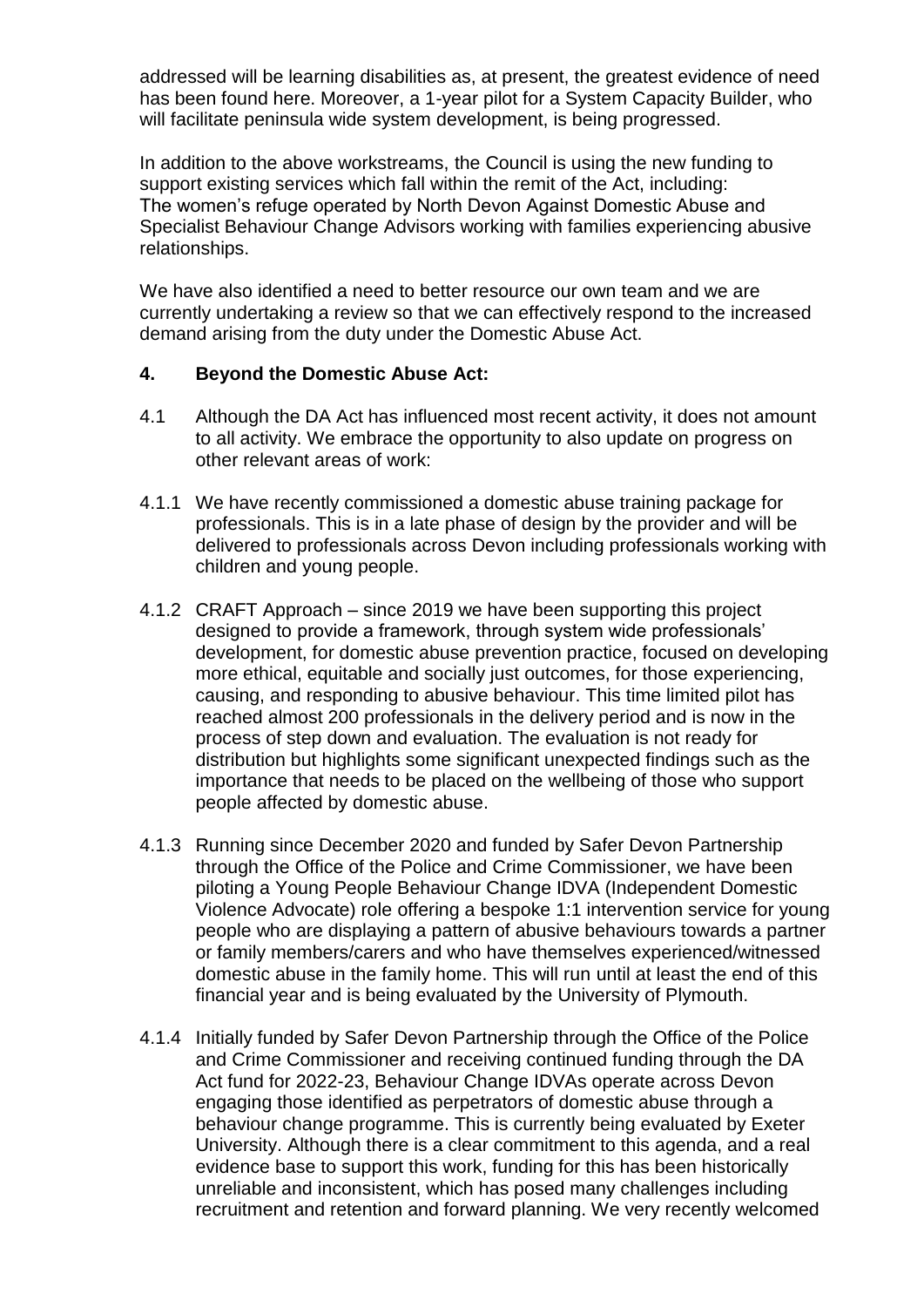addressed will be learning disabilities as, at present, the greatest evidence of need has been found here. Moreover, a 1-year pilot for a System Capacity Builder, who will facilitate peninsula wide system development, is being progressed.

In addition to the above workstreams, the Council is using the new funding to support existing services which fall within the remit of the Act, including: The women's refuge operated by North Devon Against Domestic Abuse and Specialist Behaviour Change Advisors working with families experiencing abusive relationships.

We have also identified a need to better resource our own team and we are currently undertaking a review so that we can effectively respond to the increased demand arising from the duty under the Domestic Abuse Act.

### **4. Beyond the Domestic Abuse Act:**

- 4.1 Although the DA Act has influenced most recent activity, it does not amount to all activity. We embrace the opportunity to also update on progress on other relevant areas of work:
- 4.1.1 We have recently commissioned a domestic abuse training package for professionals. This is in a late phase of design by the provider and will be delivered to professionals across Devon including professionals working with children and young people.
- 4.1.2 CRAFT Approach since 2019 we have been supporting this project designed to provide a framework, through system wide professionals' development, for domestic abuse prevention practice, focused on developing more ethical, equitable and socially just outcomes, for those experiencing, causing, and responding to abusive behaviour. This time limited pilot has reached almost 200 professionals in the delivery period and is now in the process of step down and evaluation. The evaluation is not ready for distribution but highlights some significant unexpected findings such as the importance that needs to be placed on the wellbeing of those who support people affected by domestic abuse.
- 4.1.3 Running since December 2020 and funded by Safer Devon Partnership through the Office of the Police and Crime Commissioner, we have been piloting a Young People Behaviour Change IDVA (Independent Domestic Violence Advocate) role offering a bespoke 1:1 intervention service for young people who are displaying a pattern of abusive behaviours towards a partner or family members/carers and who have themselves experienced/witnessed domestic abuse in the family home. This will run until at least the end of this financial year and is being evaluated by the University of Plymouth.
- 4.1.4 Initially funded by Safer Devon Partnership through the Office of the Police and Crime Commissioner and receiving continued funding through the DA Act fund for 2022-23, Behaviour Change IDVAs operate across Devon engaging those identified as perpetrators of domestic abuse through a behaviour change programme. This is currently being evaluated by Exeter University. Although there is a clear commitment to this agenda, and a real evidence base to support this work, funding for this has been historically unreliable and inconsistent, which has posed many challenges including recruitment and retention and forward planning. We very recently welcomed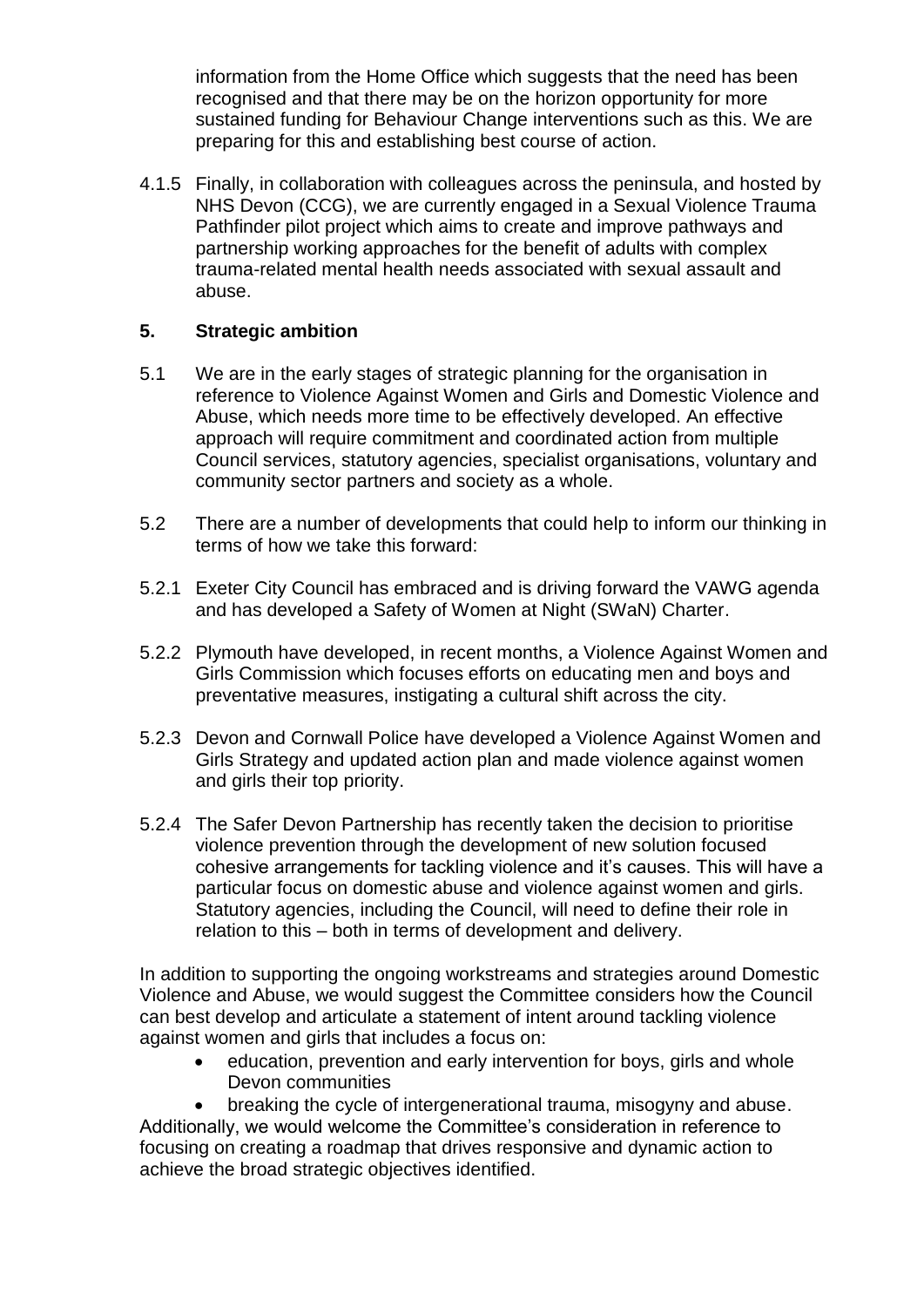information from the Home Office which suggests that the need has been recognised and that there may be on the horizon opportunity for more sustained funding for Behaviour Change interventions such as this. We are preparing for this and establishing best course of action.

4.1.5 Finally, in collaboration with colleagues across the peninsula, and hosted by NHS Devon (CCG), we are currently engaged in a Sexual Violence Trauma Pathfinder pilot project which aims to create and improve pathways and partnership working approaches for the benefit of adults with complex trauma-related mental health needs associated with sexual assault and abuse.

### **5. Strategic ambition**

- 5.1 We are in the early stages of strategic planning for the organisation in reference to Violence Against Women and Girls and Domestic Violence and Abuse, which needs more time to be effectively developed. An effective approach will require commitment and coordinated action from multiple Council services, statutory agencies, specialist organisations, voluntary and community sector partners and society as a whole.
- 5.2 There are a number of developments that could help to inform our thinking in terms of how we take this forward:
- 5.2.1 Exeter City Council has embraced and is driving forward the VAWG agenda and has developed a Safety of Women at Night (SWaN) Charter.
- 5.2.2 Plymouth have developed, in recent months, a Violence Against Women and Girls Commission which focuses efforts on educating men and boys and preventative measures, instigating a cultural shift across the city.
- 5.2.3 Devon and Cornwall Police have developed a Violence Against Women and Girls Strategy and updated action plan and made violence against women and girls their top priority.
- 5.2.4 The Safer Devon Partnership has recently taken the decision to prioritise violence prevention through the development of new solution focused cohesive arrangements for tackling violence and it's causes. This will have a particular focus on domestic abuse and violence against women and girls. Statutory agencies, including the Council, will need to define their role in relation to this – both in terms of development and delivery.

In addition to supporting the ongoing workstreams and strategies around Domestic Violence and Abuse, we would suggest the Committee considers how the Council can best develop and articulate a statement of intent around tackling violence against women and girls that includes a focus on:

 education, prevention and early intervention for boys, girls and whole Devon communities

 breaking the cycle of intergenerational trauma, misogyny and abuse. Additionally, we would welcome the Committee's consideration in reference to focusing on creating a roadmap that drives responsive and dynamic action to achieve the broad strategic objectives identified.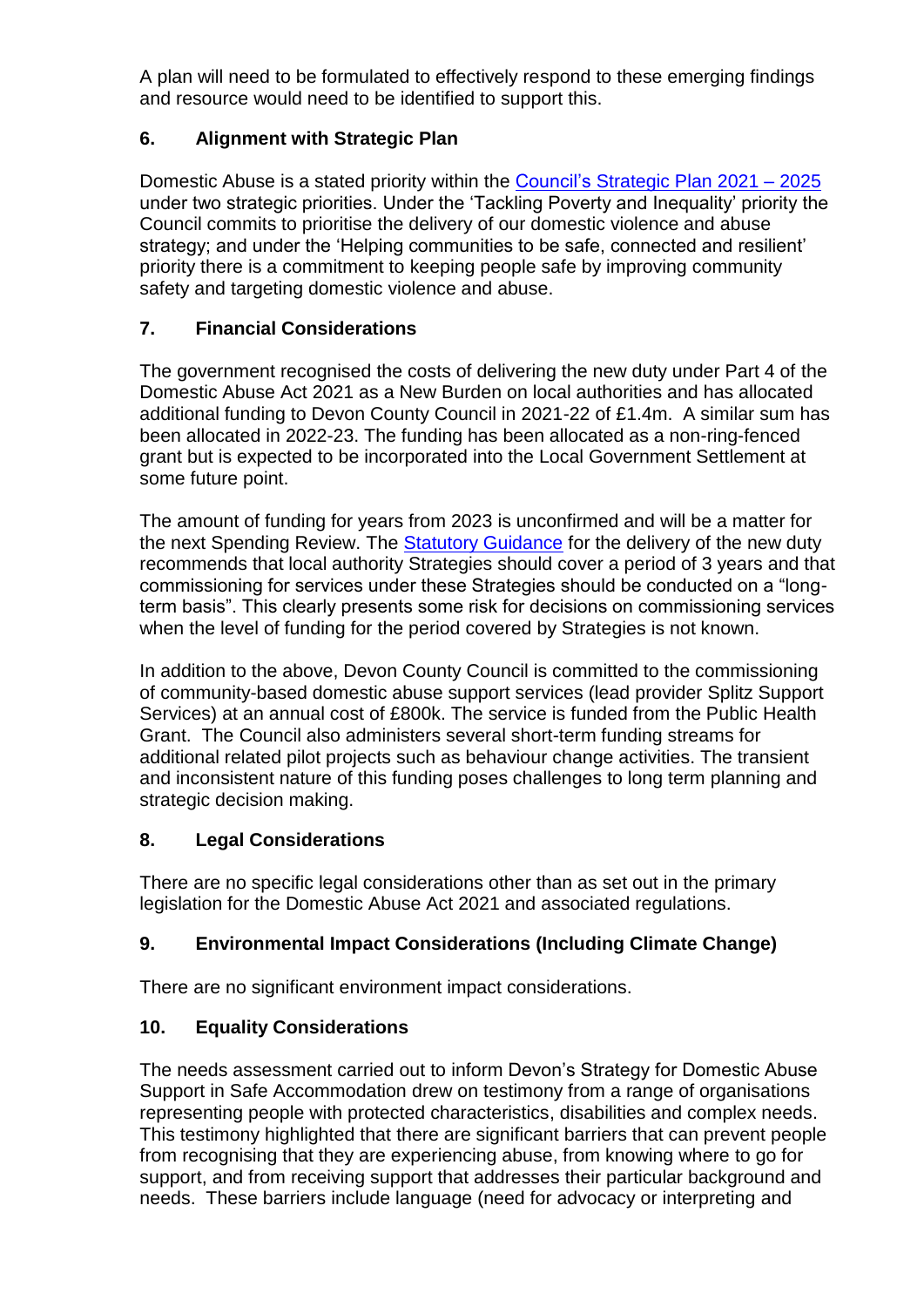A plan will need to be formulated to effectively respond to these emerging findings and resource would need to be identified to support this.

## **6. Alignment with Strategic Plan**

Domestic Abuse is a stated priority within the [Council's Strategic Plan 2021 –](https://www.devon.gov.uk/strategic-plan/?nowprocket=1) 2025 under two strategic priorities. Under the 'Tackling Poverty and Inequality' priority the Council commits to prioritise the delivery of our domestic violence and abuse strategy; and under the 'Helping communities to be safe, connected and resilient' priority there is a commitment to keeping people safe by improving community safety and targeting domestic violence and abuse.

### **7. Financial Considerations**

The government recognised the costs of delivering the new duty under Part 4 of the Domestic Abuse Act 2021 as a New Burden on local authorities and has allocated additional funding to Devon County Council in 2021-22 of £1.4m. A similar sum has been allocated in 2022-23. The funding has been allocated as a non-ring-fenced grant but is expected to be incorporated into the Local Government Settlement at some future point.

The amount of funding for years from 2023 is unconfirmed and will be a matter for the next Spending Review. The [Statutory Guidance](https://www.gov.uk/government/publications/domestic-abuse-support-within-safe-accommodation/delivery-of-support-to-victims-of-domestic-abuse-in-domestic-abuse-safe-accommodation-services) for the delivery of the new duty recommends that local authority Strategies should cover a period of 3 years and that commissioning for services under these Strategies should be conducted on a "longterm basis". This clearly presents some risk for decisions on commissioning services when the level of funding for the period covered by Strategies is not known.

In addition to the above, Devon County Council is committed to the commissioning of community-based domestic abuse support services (lead provider Splitz Support Services) at an annual cost of £800k. The service is funded from the Public Health Grant. The Council also administers several short-term funding streams for additional related pilot projects such as behaviour change activities. The transient and inconsistent nature of this funding poses challenges to long term planning and strategic decision making.

### **8. Legal Considerations**

There are no specific legal considerations other than as set out in the primary legislation for the Domestic Abuse Act 2021 and associated regulations.

## **9. Environmental Impact Considerations (Including Climate Change)**

There are no significant environment impact considerations.

### **10. Equality Considerations**

The needs assessment carried out to inform Devon's Strategy for Domestic Abuse Support in Safe Accommodation drew on testimony from a range of organisations representing people with protected characteristics, disabilities and complex needs. This testimony highlighted that there are significant barriers that can prevent people from recognising that they are experiencing abuse, from knowing where to go for support, and from receiving support that addresses their particular background and needs. These barriers include language (need for advocacy or interpreting and